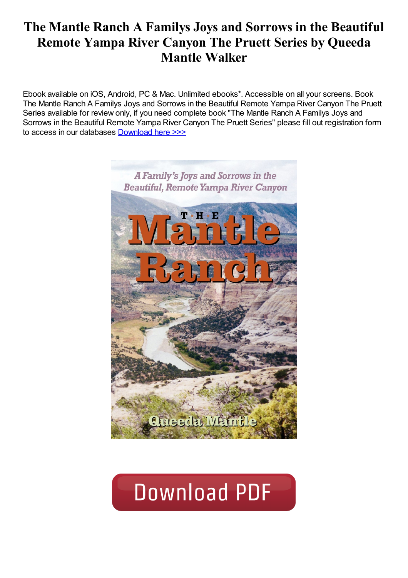# The Mantle Ranch A Familys Joys and Sorrows in the Beautiful Remote Yampa River Canyon The Pruett Series by Queeda Mantle Walker

Ebook available on iOS, Android, PC & Mac. Unlimited ebooks\*. Accessible on all your screens. Book The Mantle Ranch A Familys Joys and Sorrows in the Beautiful Remote Yampa River Canyon The Pruett Series available for review only, if you need complete book "The Mantle Ranch A Familys Joys and Sorrows in the Beautiful Remote Yampa River Canyon The Pruett Series" please fill out registration form to access in our databases [Download](https://nuonlinebooks.com/sbookfile/VGhlIE1hbnRsZSBSYW5jaDogQSBGYW1pbHkncyBKb3lzIGFuZCBTb3Jyb3dzIGluIHRoZSBCZWF1dGlmdWwsIFJlbW90ZSBZYW1wYSBSaXZlciBDYW55b24gKFRoZSBQcnVldHQgU2VyaWVzKQ==) here >>>



# **Download PDF**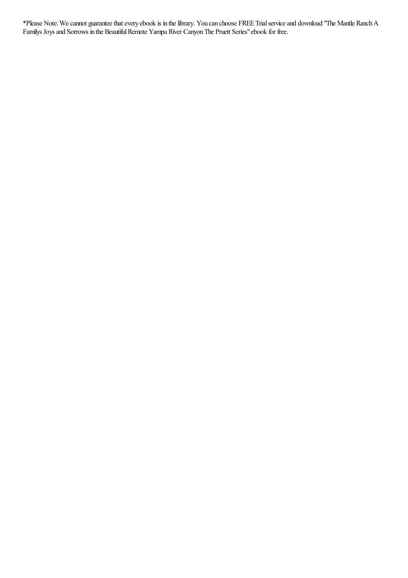\*Please Note:Wecannot guaranteethatevery ebook is in thelibrary. You can choose FREE Trialserviceand download "The Mantle RanchA Familys Joys and Sorrows in the Beautiful Remote Yampa River Canyon The Pruett Series" ebook for free.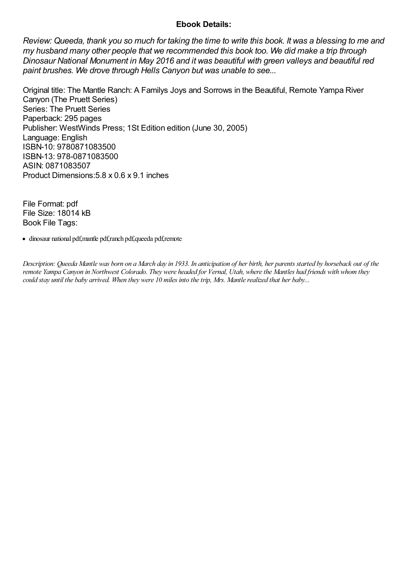## Ebook Details:

Review: Queeda, thank you so much for taking the time to write this book. It was a blessing to me and my husband many other people that we recommended this book too. We did make a trip through Dinosaur National Monument in May 2016 and it was beautiful with green valleys and beautiful red paint brushes. We drove through Hells Canyon but was unable to see...

Original title: The Mantle Ranch: A Familys Joys and Sorrows in the Beautiful, Remote Yampa River Canyon (The Pruett Series) Series: The Pruett Series Paperback: 295 pages Publisher: WestWinds Press; 1St Edition edition (June 30, 2005) Language: English ISBN-10: 9780871083500 ISBN-13: 978-0871083500 ASIN: 0871083507 Product Dimensions:5.8 x 0.6 x 9.1 inches

File Format: pdf File Size: 18014 kB Book File Tags:

dinosaur national pdf,mantle pdf,ranch pdf,queeda pdf,remote

Description: Queeda Mantle was born on a March dayin 1933. In anticipation of her birth, her parents started by horseback out of the remote Yampa Canyon in Northwest Colorado. They were headed for Vernal, Utah, where the Mantles had friends with whom they could stay until the baby arrived. When they were 10 miles into the trip, Mrs. Mantle realized that her baby...